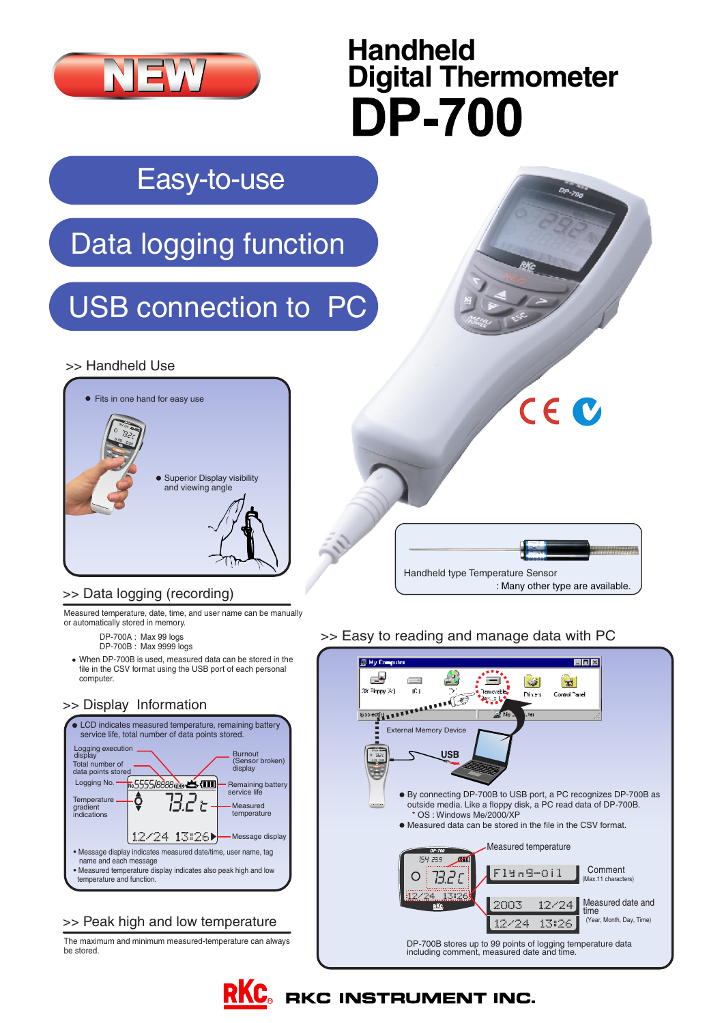

## >> Data logging (recording)

Measured temperature, date, time, and user name can be manually or automatically stored in memory.

- DP-700A : Max 99 logs
- DP-700B : Max 9999 logs
- When DP-700B is used, measured data can be stored in the file in the CSV format using the USB port of each personal computer.

## >> Display Information



## >> Peak high and low temperature

The maximum and minimum measured-temperature can always be stored.

>> Easy to reading and manage data with PC

Handheld type Temperature Sensor

: Many other type are available.



**RKC** RKC INSTRUMENT INC.